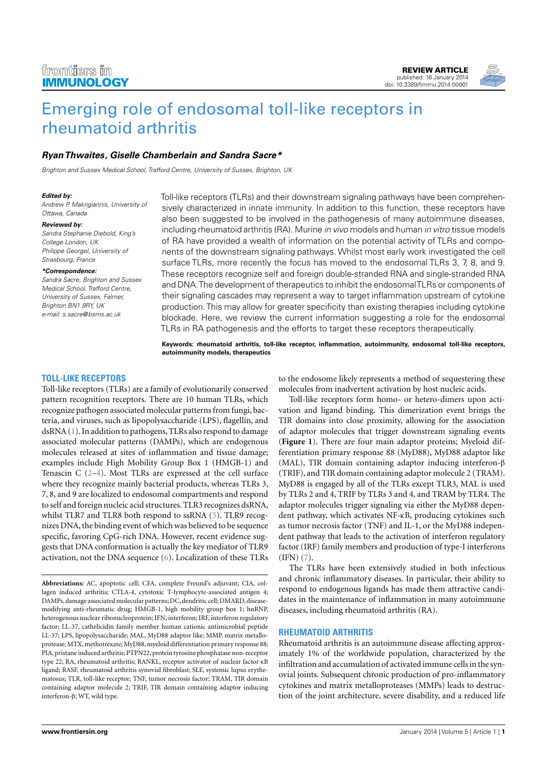

# [Emerging role of endosomal toll-like receptors in](http://www.frontiersin.org/Journal/10.3389/fimmu.2014.00001/abstract) [rheumatoid arthritis](http://www.frontiersin.org/Journal/10.3389/fimmu.2014.00001/abstract)

# **[Ryan Thwaites,](http://www.frontiersin.org/people/u/106942) [Giselle Chamberlain](http://www.frontiersin.org/people/GiselleChamberlain/130628) and [Sandra Sacre\\*](http://www.frontiersin.org/people/u/23936)**

Brighton and Sussex Medical School, Trafford Centre, University of Sussex, Brighton, UK

#### **Edited by:**

Andrew P. Makrigiannis, University of Ottawa, Canada

#### **Reviewed by:**

Sandra Stephanie Diebold, King's College London, UK Philippe Georgel, University of Strasbourg, France

#### **\*Correspondence:**

Sandra Sacre, Brighton and Sussex Medical School, Trafford Centre, University of Sussex, Falmer, Brighton BN1 9RY, UK e-mail: [s.sacre@bsms.ac.uk](mailto:s.sacre@bsms.ac.uk)

Toll-like receptors (TLRs) and their downstream signaling pathways have been comprehensively characterized in innate immunity. In addition to this function, these receptors have also been suggested to be involved in the pathogenesis of many autoimmune diseases, including rheumatoid arthritis (RA). Murine in vivo models and human in vitro tissue models of RA have provided a wealth of information on the potential activity of TLRs and components of the downstream signaling pathways. Whilst most early work investigated the cell surface TLRs, more recently the focus has moved to the endosomal TLRs 3, 7, 8, and 9. These receptors recognize self and foreign double-stranded RNA and single-stranded RNA and DNA.The development of therapeutics to inhibit the endosomalTLRs or components of their signaling cascades may represent a way to target inflammation upstream of cytokine production.This may allow for greater specificity than existing therapies including cytokine blockade. Here, we review the current information suggesting a role for the endosomal TLRs in RA pathogenesis and the efforts to target these receptors therapeutically.

**Keywords: rheumatoid arthritis, toll-like receptor, inflammation, autoimmunity, endosomal toll-like receptors, autoimmunity models, therapeutics**

## **TOLL-LIKE RECEPTORS**

Toll-like receptors (TLRs) are a family of evolutionarily conserved pattern recognition receptors. There are 10 human TLRs, which recognize pathogen associated molecular patterns from fungi, bacteria, and viruses, such as lipopolysaccharide (LPS), flagellin, and dsRNA [\(1\)](#page-5-0). In addition to pathogens, TLRs also respond to damage associated molecular patterns (DAMPs), which are endogenous molecules released at sites of inflammation and tissue damage; examples include High Mobility Group Box 1 (HMGB-1) and Tenascin C [\(2](#page-5-1)[–4\)](#page-5-2). Most TLRs are expressed at the cell surface where they recognize mainly bacterial products, whereas TLRs 3, 7, 8, and 9 are localized to endosomal compartments and respond to self and foreign nucleic acid structures. TLR3 recognizes dsRNA, whilst TLR7 and TLR8 both respond to ssRNA [\(5\)](#page-5-3). TLR9 recognizes DNA, the binding event of which was believed to be sequence specific, favoring CpG-rich DNA. However, recent evidence suggests that DNA conformation is actually the key mediator of TLR9 activation, not the DNA sequence [\(6\)](#page-5-4). Localization of these TLRs

to the endosome likely represents a method of sequestering these molecules from inadvertent activation by host nucleic acids.

Toll-like receptors form homo- or hetero-dimers upon activation and ligand binding. This dimerization event brings the TIR domains into close proximity, allowing for the association of adaptor molecules that trigger downstream signaling events (**[Figure 1](#page-1-0)**). There are four main adaptor proteins; Myeloid differentiation primary response 88 (MyD88), MyD88 adaptor like (MAL), TIR domain containing adaptor inducing interferon-β (TRIF), and TIR domain containing adaptor molecule 2 (TRAM). MyD88 is engaged by all of the TLRs except TLR3, MAL is used by TLRs 2 and 4, TRIF by TLRs 3 and 4, and TRAM by TLR4. The adaptor molecules trigger signaling via either the MyD88 dependent pathway, which activates NF-κB, producing cytokines such as tumor necrosis factor (TNF) and IL-1, or the MyD88 independent pathway that leads to the activation of interferon regulatory factor (IRF) family members and production of type-I interferons (IFN) [\(7\)](#page-5-5).

The TLRs have been extensively studied in both infectious and chronic inflammatory diseases. In particular, their ability to respond to endogenous ligands has made them attractive candidates in the maintenance of inflammation in many autoimmune diseases, including rheumatoid arthritis (RA).

#### **RHEUMATOID ARTHRITIS**

Rheumatoid arthritis is an autoimmune disease affecting approximately 1% of the worldwide population, characterized by the infiltration and accumulation of activated immune cells in the synovial joints. Subsequent chronic production of pro-inflammatory cytokines and matrix metalloproteases (MMPs) leads to destruction of the joint architecture, severe disability, and a reduced life

**Abbreviations:** AC, apoptotic cell; CFA, complete Freund's adjuvant; CIA, collagen induced arthritis; CTLA-4, cytotoxic T-lymphocyte-associated antigen 4; DAMPs, damage associated molecular patterns; DC, dendritic cell; DMARD, diseasemodifying anti-rheumatic drug; HMGB-1, high mobility group box 1; hnRNP, heterogenous nuclear ribonucleoprotein; IFN, interferon; IRF, interferon regulatory factor; LL-37, cathelicidin family member human cationic antimicrobial peptide LL-37; LPS, lipopolysaccharide; MAL, MyD88 adaptor like; MMP, matrix metalloprotease; MTX, methotrexate; MyD88, myeloid differentiation primary response 88; PIA, pristane induced arthritis; PTPN22, protein tyrosine phosphatase non-receptor type 22; RA, rheumatoid arthritis; RANKL, receptor activator of nuclear factor κB ligand; RASF, rheumatoid arthritis synovial fibroblast; SLE, systemic lupus erythematosus; TLR, toll-like receptor; TNF, tumor necrosis factor; TRAM, TIR domain containing adaptor molecule 2; TRIF, TIR domain containing adaptor inducing interferon-β; WT, wild type.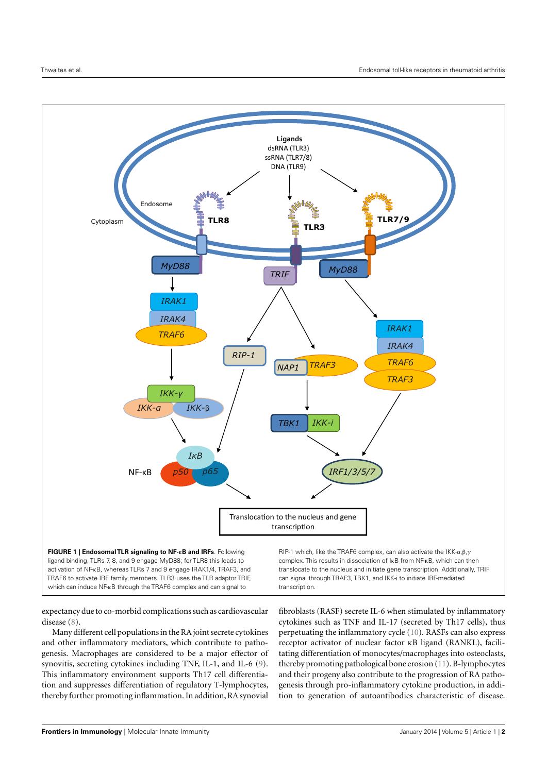

<span id="page-1-0"></span>activation of NF-κB, whereas TLRs 7 and 9 engage IRAK1/4, TRAF3, and TRAF6 to activate IRF family members. TLR3 uses the TLR adaptor TRIF, which can induce NF-κB through the TRAF6 complex and can signal to

translocate to the nucleus and initiate gene transcription. Additionally, TRIF can signal through TRAF3, TBK1, and IKK-i to initiate IRF-mediated transcription.

expectancy due to co-morbid complications such as cardiovascular disease [\(8\)](#page-5-6).

Many different cell populations in the RA joint secrete cytokines and other inflammatory mediators, which contribute to pathogenesis. Macrophages are considered to be a major effector of synovitis, secreting cytokines including TNF, IL-1, and IL-6 [\(9\)](#page-5-7). This inflammatory environment supports Th17 cell differentiation and suppresses differentiation of regulatory T-lymphocytes, thereby further promoting inflammation. In addition, RA synovial

fibroblasts (RASF) secrete IL-6 when stimulated by inflammatory cytokines such as TNF and IL-17 (secreted by Th17 cells), thus perpetuating the inflammatory cycle [\(10\)](#page-5-8). RASFs can also express receptor activator of nuclear factor κB ligand (RANKL), facilitating differentiation of monocytes/macrophages into osteoclasts, thereby promoting pathological bone erosion [\(11\)](#page-5-9). B-lymphocytes and their progeny also contribute to the progression of RA pathogenesis through pro-inflammatory cytokine production, in addition to generation of autoantibodies characteristic of disease.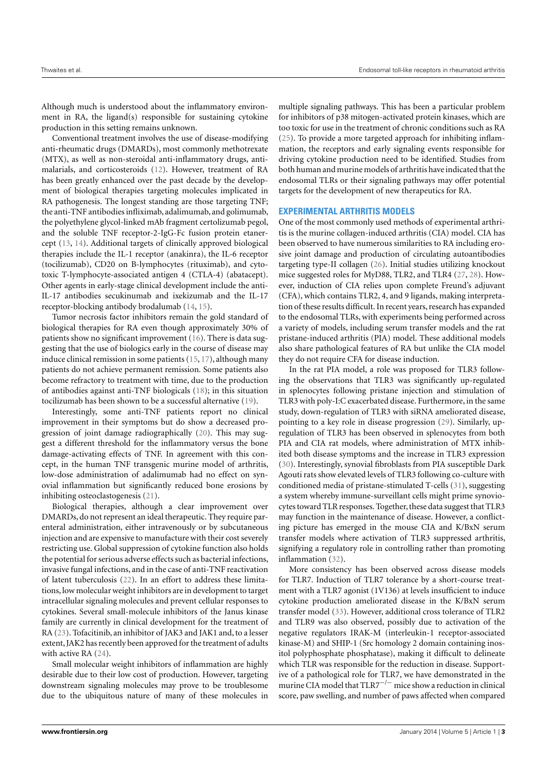Although much is understood about the inflammatory environment in RA, the ligand(s) responsible for sustaining cytokine production in this setting remains unknown.

Conventional treatment involves the use of disease-modifying anti-rheumatic drugs (DMARDs), most commonly methotrexate (MTX), as well as non-steroidal anti-inflammatory drugs, antimalarials, and corticosteroids [\(12\)](#page-5-10). However, treatment of RA has been greatly enhanced over the past decade by the development of biological therapies targeting molecules implicated in RA pathogenesis. The longest standing are those targeting TNF; the anti-TNF antibodies infliximab, adalimumab, and golimumab, the polyethylene glycol-linked mAb fragment certolizumab pegol, and the soluble TNF receptor-2-IgG-Fc fusion protein etanercept [\(13,](#page-5-11) [14\)](#page-5-12). Additional targets of clinically approved biological therapies include the IL-1 receptor (anakinra), the IL-6 receptor (tocilizumab), CD20 on B-lymphocytes (rituximab), and cytotoxic T-lymphocyte-associated antigen 4 (CTLA-4) (abatacept). Other agents in early-stage clinical development include the anti-IL-17 antibodies secukinumab and ixekizumab and the IL-17 receptor-blocking antibody brodalumab [\(14,](#page-5-12) [15\)](#page-5-13).

Tumor necrosis factor inhibitors remain the gold standard of biological therapies for RA even though approximately 30% of patients show no significant improvement [\(16\)](#page-5-14). There is data suggesting that the use of biologics early in the course of disease may induce clinical remission in some patients [\(15,](#page-5-13) [17\)](#page-5-15), although many patients do not achieve permanent remission. Some patients also become refractory to treatment with time, due to the production of antibodies against anti-TNF biologicals [\(18\)](#page-5-16); in this situation tocilizumab has been shown to be a successful alternative [\(19\)](#page-5-17).

Interestingly, some anti-TNF patients report no clinical improvement in their symptoms but do show a decreased progression of joint damage radiographically [\(20\)](#page-5-18). This may suggest a different threshold for the inflammatory versus the bone damage-activating effects of TNF. In agreement with this concept, in the human TNF transgenic murine model of arthritis, low-dose administration of adalimumab had no effect on synovial inflammation but significantly reduced bone erosions by inhibiting osteoclastogenesis [\(21\)](#page-6-0).

Biological therapies, although a clear improvement over DMARDs, do not represent an ideal therapeutic. They require parenteral administration, either intravenously or by subcutaneous injection and are expensive to manufacture with their cost severely restricting use. Global suppression of cytokine function also holds the potential for serious adverse effects such as bacterial infections, invasive fungal infections, and in the case of anti-TNF reactivation of latent tuberculosis [\(22\)](#page-6-1). In an effort to address these limitations, low molecular weight inhibitors are in development to target intracellular signaling molecules and prevent cellular responses to cytokines. Several small-molecule inhibitors of the Janus kinase family are currently in clinical development for the treatment of RA [\(23\)](#page-6-2). Tofacitinib, an inhibitor of JAK3 and JAK1 and, to a lesser extent, JAK2 has recently been approved for the treatment of adults with active RA [\(24\)](#page-6-3).

Small molecular weight inhibitors of inflammation are highly desirable due to their low cost of production. However, targeting downstream signaling molecules may prove to be troublesome due to the ubiquitous nature of many of these molecules in

multiple signaling pathways. This has been a particular problem for inhibitors of p38 mitogen-activated protein kinases, which are too toxic for use in the treatment of chronic conditions such as RA [\(25\)](#page-6-4). To provide a more targeted approach for inhibiting inflammation, the receptors and early signaling events responsible for driving cytokine production need to be identified. Studies from both human and murine models of arthritis have indicated that the endosomal TLRs or their signaling pathways may offer potential targets for the development of new therapeutics for RA.

# **EXPERIMENTAL ARTHRITIS MODELS**

One of the most commonly used methods of experimental arthritis is the murine collagen-induced arthritis (CIA) model. CIA has been observed to have numerous similarities to RA including erosive joint damage and production of circulating autoantibodies targeting type-II collagen [\(26\)](#page-6-5). Initial studies utilizing knockout mice suggested roles for MyD88, TLR2, and TLR4 [\(27,](#page-6-6) [28\)](#page-6-7). However, induction of CIA relies upon complete Freund's adjuvant (CFA), which contains TLR2, 4, and 9 ligands, making interpretation of these results difficult. In recent years, research has expanded to the endosomal TLRs, with experiments being performed across a variety of models, including serum transfer models and the rat pristane-induced arthritis (PIA) model. These additional models also share pathological features of RA but unlike the CIA model they do not require CFA for disease induction.

In the rat PIA model, a role was proposed for TLR3 following the observations that TLR3 was significantly up-regulated in splenocytes following pristane injection and stimulation of TLR3 with poly-I:C exacerbated disease. Furthermore, in the same study, down-regulation of TLR3 with siRNA ameliorated disease, pointing to a key role in disease progression [\(29\)](#page-6-8). Similarly, upregulation of TLR3 has been observed in splenocytes from both PIA and CIA rat models, where administration of MTX inhibited both disease symptoms and the increase in TLR3 expression [\(30\)](#page-6-9). Interestingly, synovial fibroblasts from PIA susceptible Dark Agouti rats show elevated levels of TLR3 following co-culture with conditioned media of pristane-stimulated T-cells [\(31\)](#page-6-10), suggesting a system whereby immune-surveillant cells might prime synoviocytes toward TLR responses. Together, these data suggest that TLR3 may function in the maintenance of disease. However, a conflicting picture has emerged in the mouse CIA and K/BxN serum transfer models where activation of TLR3 suppressed arthritis, signifying a regulatory role in controlling rather than promoting inflammation [\(32\)](#page-6-11).

More consistency has been observed across disease models for TLR7. Induction of TLR7 tolerance by a short-course treatment with a TLR7 agonist (1V136) at levels insufficient to induce cytokine production ameliorated disease in the K/BxN serum transfer model [\(33\)](#page-6-12). However, additional cross tolerance of TLR2 and TLR9 was also observed, possibly due to activation of the negative regulators IRAK-M (interleukin-1 receptor-associated kinase-M) and SHIP-1 (Src homology 2 domain containing inositol polyphosphate phosphatase), making it difficult to delineate which TLR was responsible for the reduction in disease. Supportive of a pathological role for TLR7, we have demonstrated in the murine CIA model that TLR7<sup>-/-</sup> mice show a reduction in clinical score, paw swelling, and number of paws affected when compared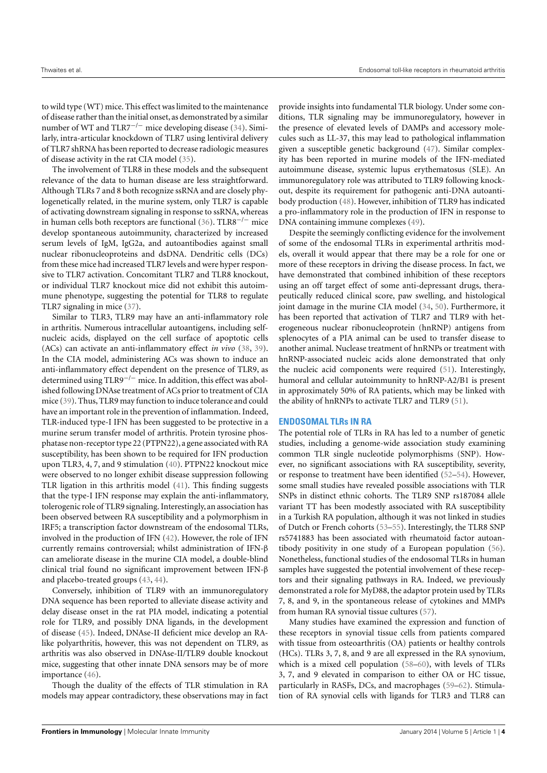to wild type (WT) mice. This effect was limited to the maintenance of disease rather than the initial onset, as demonstrated by a similar number of WT and TLR7<sup>-/-</sup> mice developing disease [\(34\)](#page-6-13). Similarly, intra-articular knockdown of TLR7 using lentiviral delivery of TLR7 shRNA has been reported to decrease radiologic measures of disease activity in the rat CIA model [\(35\)](#page-6-14).

The involvement of TLR8 in these models and the subsequent relevance of the data to human disease are less straightforward. Although TLRs 7 and 8 both recognize ssRNA and are closely phylogenetically related, in the murine system, only TLR7 is capable of activating downstream signaling in response to ssRNA, whereas in human cells both receptors are functional [\(36\)](#page-6-15). TLR8<sup> $-/-$ </sup> mice develop spontaneous autoimmunity, characterized by increased serum levels of IgM, IgG2a, and autoantibodies against small nuclear ribonucleoproteins and dsDNA. Dendritic cells (DCs) from these mice had increased TLR7 levels and were hyper responsive to TLR7 activation. Concomitant TLR7 and TLR8 knockout, or individual TLR7 knockout mice did not exhibit this autoimmune phenotype, suggesting the potential for TLR8 to regulate TLR7 signaling in mice [\(37\)](#page-6-16).

Similar to TLR3, TLR9 may have an anti-inflammatory role in arthritis. Numerous intracellular autoantigens, including selfnucleic acids, displayed on the cell surface of apoptotic cells (ACs) can activate an anti-inflammatory effect *in vivo* [\(38,](#page-6-17) [39\)](#page-6-18). In the CIA model, administering ACs was shown to induce an anti-inflammatory effect dependent on the presence of TLR9, as determined using TLR9−/<sup>−</sup> mice. In addition, this effect was abolished following DNAse treatment of ACs prior to treatment of CIA mice [\(39\)](#page-6-18). Thus, TLR9 may function to induce tolerance and could have an important role in the prevention of inflammation. Indeed, TLR-induced type-I IFN has been suggested to be protective in a murine serum transfer model of arthritis. Protein tyrosine phosphatase non-receptor type 22 (PTPN22), a gene associated with RA susceptibility, has been shown to be required for IFN production upon TLR3, 4, 7, and 9 stimulation [\(40\)](#page-6-19). PTPN22 knockout mice were observed to no longer exhibit disease suppression following TLR ligation in this arthritis model [\(41\)](#page-6-20). This finding suggests that the type-I IFN response may explain the anti-inflammatory, tolerogenic role of TLR9 signaling. Interestingly, an association has been observed between RA susceptibility and a polymorphism in IRF5; a transcription factor downstream of the endosomal TLRs, involved in the production of IFN [\(42\)](#page-6-21). However, the role of IFN currently remains controversial; whilst administration of IFN-β can ameliorate disease in the murine CIA model, a double-blind clinical trial found no significant improvement between IFN-β and placebo-treated groups [\(43,](#page-6-22) [44\)](#page-6-23).

Conversely, inhibition of TLR9 with an immunoregulatory DNA sequence has been reported to alleviate disease activity and delay disease onset in the rat PIA model, indicating a potential role for TLR9, and possibly DNA ligands, in the development of disease [\(45\)](#page-6-24). Indeed, DNAse-II deficient mice develop an RAlike polyarthritis, however, this was not dependent on TLR9, as arthritis was also observed in DNAse-II/TLR9 double knockout mice, suggesting that other innate DNA sensors may be of more importance [\(46\)](#page-6-25).

Though the duality of the effects of TLR stimulation in RA models may appear contradictory, these observations may in fact provide insights into fundamental TLR biology. Under some conditions, TLR signaling may be immunoregulatory, however in the presence of elevated levels of DAMPs and accessory molecules such as LL-37, this may lead to pathological inflammation given a susceptible genetic background [\(47\)](#page-6-26). Similar complexity has been reported in murine models of the IFN-mediated autoimmune disease, systemic lupus erythematosus (SLE). An immunoregulatory role was attributed to TLR9 following knockout, despite its requirement for pathogenic anti-DNA autoantibody production [\(48\)](#page-6-27). However, inhibition of TLR9 has indicated a pro-inflammatory role in the production of IFN in response to DNA containing immune complexes [\(49\)](#page-6-28).

Despite the seemingly conflicting evidence for the involvement of some of the endosomal TLRs in experimental arthritis models, overall it would appear that there may be a role for one or more of these receptors in driving the disease process. In fact, we have demonstrated that combined inhibition of these receptors using an off target effect of some anti-depressant drugs, therapeutically reduced clinical score, paw swelling, and histological joint damage in the murine CIA model [\(34,](#page-6-13) [50\)](#page-6-29). Furthermore, it has been reported that activation of TLR7 and TLR9 with heterogeneous nuclear ribonucleoprotein (hnRNP) antigens from splenocytes of a PIA animal can be used to transfer disease to another animal. Nuclease treatment of hnRNPs or treatment with hnRNP-associated nucleic acids alone demonstrated that only the nucleic acid components were required [\(51\)](#page-6-30). Interestingly, humoral and cellular autoimmunity to hnRNP-A2/B1 is present in approximately 50% of RA patients, which may be linked with the ability of hnRNPs to activate TLR7 and TLR9 [\(51\)](#page-6-30).

## **ENDOSOMAL TLRs IN RA**

The potential role of TLRs in RA has led to a number of genetic studies, including a genome-wide association study examining common TLR single nucleotide polymorphisms (SNP). However, no significant associations with RA susceptibility, severity, or response to treatment have been identified [\(52](#page-6-31)[–54\)](#page-6-32). However, some small studies have revealed possible associations with TLR SNPs in distinct ethnic cohorts. The TLR9 SNP rs187084 allele variant TT has been modestly associated with RA susceptibility in a Turkish RA population, although it was not linked in studies of Dutch or French cohorts [\(53](#page-6-33)[–55\)](#page-6-34). Interestingly, the TLR8 SNP rs5741883 has been associated with rheumatoid factor autoantibody positivity in one study of a European population [\(56\)](#page-6-35). Nonetheless, functional studies of the endosomal TLRs in human samples have suggested the potential involvement of these receptors and their signaling pathways in RA. Indeed, we previously demonstrated a role for MyD88, the adaptor protein used by TLRs 7, 8, and 9, in the spontaneous release of cytokines and MMPs from human RA synovial tissue cultures [\(57\)](#page-6-36).

Many studies have examined the expression and function of these receptors in synovial tissue cells from patients compared with tissue from osteoarthritis (OA) patients or healthy controls (HCs). TLRs 3, 7, 8, and 9 are all expressed in the RA synovium, which is a mixed cell population [\(58–](#page-6-37)[60\)](#page-7-0), with levels of TLRs 3, 7, and 9 elevated in comparison to either OA or HC tissue, particularly in RASFs, DCs, and macrophages [\(59–](#page-6-38)[62\)](#page-7-1). Stimulation of RA synovial cells with ligands for TLR3 and TLR8 can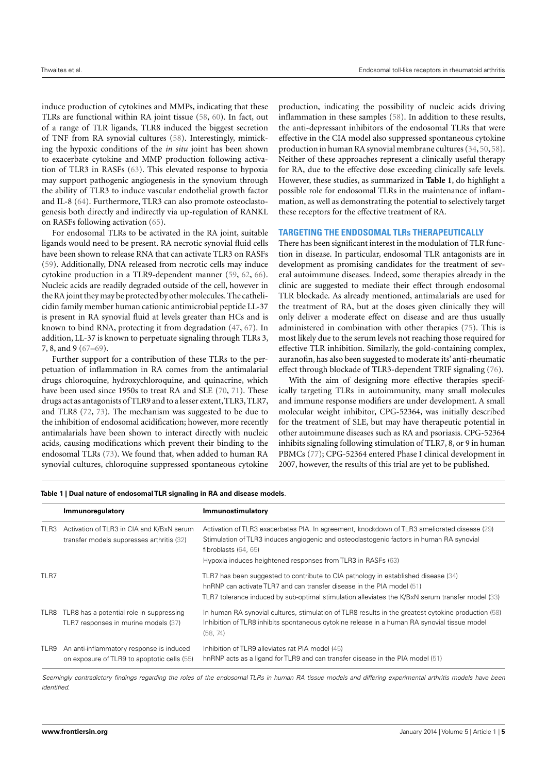induce production of cytokines and MMPs, indicating that these TLRs are functional within RA joint tissue [\(58,](#page-6-37) [60\)](#page-7-0). In fact, out of a range of TLR ligands, TLR8 induced the biggest secretion of TNF from RA synovial cultures [\(58\)](#page-6-37). Interestingly, mimicking the hypoxic conditions of the *in situ* joint has been shown to exacerbate cytokine and MMP production following activation of TLR3 in RASFs [\(63\)](#page-7-2). This elevated response to hypoxia may support pathogenic angiogenesis in the synovium through the ability of TLR3 to induce vascular endothelial growth factor and IL-8 [\(64\)](#page-7-3). Furthermore, TLR3 can also promote osteoclastogenesis both directly and indirectly via up-regulation of RANKL on RASFs following activation [\(65\)](#page-7-4).

For endosomal TLRs to be activated in the RA joint, suitable ligands would need to be present. RA necrotic synovial fluid cells have been shown to release RNA that can activate TLR3 on RASFs [\(59\)](#page-6-38). Additionally, DNA released from necrotic cells may induce cytokine production in a TLR9-dependent manner [\(59,](#page-6-38) [62,](#page-7-1) [66\)](#page-7-5). Nucleic acids are readily degraded outside of the cell, however in the RA joint they may be protected by other molecules. The cathelicidin family member human cationic antimicrobial peptide LL-37 is present in RA synovial fluid at levels greater than HCs and is known to bind RNA, protecting it from degradation [\(47,](#page-6-26) [67\)](#page-7-6). In addition, LL-37 is known to perpetuate signaling through TLRs 3, 7, 8, and 9 [\(67–](#page-7-6)[69\)](#page-7-7).

Further support for a contribution of these TLRs to the perpetuation of inflammation in RA comes from the antimalarial drugs chloroquine, hydroxychloroquine, and quinacrine, which have been used since 1950s to treat RA and SLE [\(70,](#page-7-8) [71\)](#page-7-9). These drugs act as antagonists of TLR9 and to a lesser extent,TLR3, TLR7, and TLR8 [\(72,](#page-7-10) [73\)](#page-7-11). The mechanism was suggested to be due to the inhibition of endosomal acidification; however, more recently antimalarials have been shown to interact directly with nucleic acids, causing modifications which prevent their binding to the endosomal TLRs [\(73\)](#page-7-11). We found that, when added to human RA synovial cultures, chloroquine suppressed spontaneous cytokine

production, indicating the possibility of nucleic acids driving inflammation in these samples [\(58\)](#page-6-37). In addition to these results, the anti-depressant inhibitors of the endosomal TLRs that were effective in the CIA model also suppressed spontaneous cytokine production in human RA synovial membrane cultures [\(34,](#page-6-13) [50,](#page-6-29) [58\)](#page-6-37). Neither of these approaches represent a clinically useful therapy for RA, due to the effective dose exceeding clinically safe levels. However, these studies, as summarized in **[Table 1](#page-4-0)**, do highlight a possible role for endosomal TLRs in the maintenance of inflammation, as well as demonstrating the potential to selectively target these receptors for the effective treatment of RA.

#### **TARGETING THE ENDOSOMAL TLRs THERAPEUTICALLY**

There has been significant interest in the modulation of TLR function in disease. In particular, endosomal TLR antagonists are in development as promising candidates for the treatment of several autoimmune diseases. Indeed, some therapies already in the clinic are suggested to mediate their effect through endosomal TLR blockade. As already mentioned, antimalarials are used for the treatment of RA, but at the doses given clinically they will only deliver a moderate effect on disease and are thus usually administered in combination with other therapies [\(75\)](#page-7-12). This is most likely due to the serum levels not reaching those required for effective TLR inhibition. Similarly, the gold-containing complex, auranofin, has also been suggested to moderate its' anti-rheumatic effect through blockade of TLR3-dependent TRIF signaling [\(76\)](#page-7-13).

With the aim of designing more effective therapies specifically targeting TLRs in autoimmunity, many small molecules and immune response modifiers are under development. A small molecular weight inhibitor, CPG-52364, was initially described for the treatment of SLE, but may have therapeutic potential in other autoimmune diseases such as RA and psoriasis. CPG-52364 inhibits signaling following stimulation of TLR7, 8, or 9 in human PBMCs [\(77\)](#page-7-14); CPG-52364 entered Phase I clinical development in 2007, however, the results of this trial are yet to be published.

|      | Immunoregulatory                                                                        | Immunostimulatory                                                                                                                                                                                                                                                                  |
|------|-----------------------------------------------------------------------------------------|------------------------------------------------------------------------------------------------------------------------------------------------------------------------------------------------------------------------------------------------------------------------------------|
| TLR3 | Activation of TLR3 in CIA and K/BxN serum<br>transfer models suppresses arthritis (32)  | Activation of TLR3 exacerbates PIA. In agreement, knockdown of TLR3 ameliorated disease (29)<br>Stimulation of TLR3 induces angiogenic and osteoclastogenic factors in human RA synovial<br>fibroblasts $(64, 65)$<br>Hypoxia induces heightened responses from TLR3 in RASFs (63) |
| TLR7 |                                                                                         | TLR7 has been suggested to contribute to CIA pathology in established disease (34)<br>hnRNP can activate TLR7 and can transfer disease in the PIA model (51)<br>TLR7 tolerance induced by sub-optimal stimulation alleviates the K/BxN serum transfer model (33)                   |
|      | TLR8 TLR8 has a potential role in suppressing<br>TLR7 responses in murine models (37)   | In human RA synovial cultures, stimulation of TLR8 results in the greatest cytokine production (58)<br>Inhibition of TLR8 inhibits spontaneous cytokine release in a human RA synovial tissue model<br>(58, 74)                                                                    |
| TLR9 | An anti-inflammatory response is induced<br>on exposure of TLR9 to apoptotic cells (55) | Inhibition of TLR9 alleviates rat PIA model (45)<br>hnRNP acts as a ligand for TLR9 and can transfer disease in the PIA model (51)                                                                                                                                                 |

<span id="page-4-0"></span>**Table 1 | Dual nature of endosomalTLR signaling in RA and disease models**.

Seemingly contradictory findings regarding the roles of the endosomal TLRs in human RA tissue models and differing experimental arthritis models have been identified.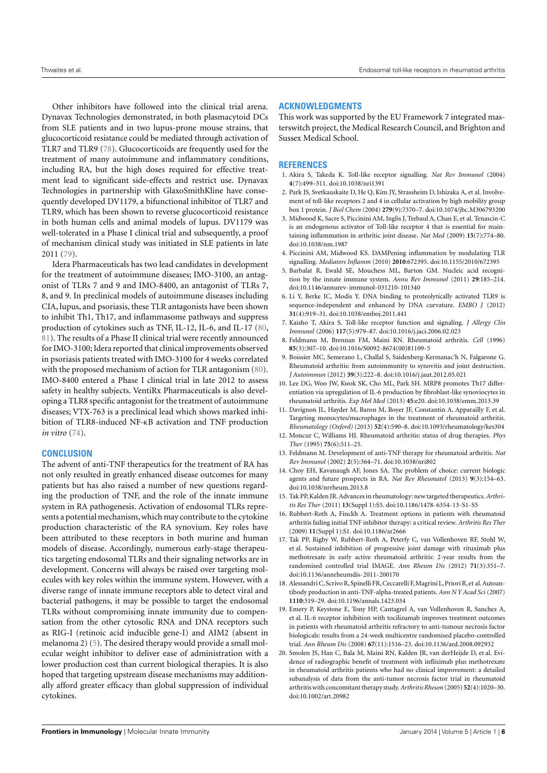Other inhibitors have followed into the clinical trial arena. Dynavax Technologies demonstrated, in both plasmacytoid DCs from SLE patients and in two lupus-prone mouse strains, that glucocorticoid resistance could be mediated through activation of TLR7 and TLR9 [\(78\)](#page-7-16). Glucocorticoids are frequently used for the treatment of many autoimmune and inflammatory conditions, including RA, but the high doses required for effective treatment lead to significant side-effects and restrict use. Dynavax Technologies in partnership with GlaxoSmithKline have consequently developed DV1179, a bifunctional inhibitor of TLR7 and TLR9, which has been shown to reverse glucocorticoid resistance in both human cells and animal models of lupus. DV1179 was well-tolerated in a Phase I clinical trial and subsequently, a proof of mechanism clinical study was initiated in SLE patients in late 2011 [\(79\)](#page-7-17).

Idera Pharmaceuticals has two lead candidates in development for the treatment of autoimmune diseases; IMO-3100, an antagonist of TLRs 7 and 9 and IMO-8400, an antagonist of TLRs 7, 8, and 9. In preclinical models of autoimmune diseases including CIA, lupus, and psoriasis, these TLR antagonists have been shown to inhibit Th1, Th17, and inflammasome pathways and suppress production of cytokines such as TNF, IL-12, IL-6, and IL-17 [\(80,](#page-7-18) [81\)](#page-7-19). The results of a Phase II clinical trial were recently announced for IMO-3100; Idera reported that clinical improvements observed in psoriasis patients treated with IMO-3100 for 4 weeks correlated with the proposed mechanism of action for TLR antagonism [\(80\)](#page-7-18). IMO-8400 entered a Phase I clinical trial in late 2012 to assess safety in healthy subjects. VentiRx Pharmaceuticals is also developing a TLR8 specific antagonist for the treatment of autoimmune diseases; VTX-763 is a preclinical lead which shows marked inhibition of TLR8-induced NF-κB activation and TNF production *in vitro* [\(74\)](#page-7-15).

## **CONCLUSION**

The advent of anti-TNF therapeutics for the treatment of RA has not only resulted in greatly enhanced disease outcomes for many patients but has also raised a number of new questions regarding the production of TNF, and the role of the innate immune system in RA pathogenesis. Activation of endosomal TLRs represents a potential mechanism, which may contribute to the cytokine production characteristic of the RA synovium. Key roles have been attributed to these receptors in both murine and human models of disease. Accordingly, numerous early-stage therapeutics targeting endosomal TLRs and their signaling networks are in development. Concerns will always be raised over targeting molecules with key roles within the immune system. However, with a diverse range of innate immune receptors able to detect viral and bacterial pathogens, it may be possible to target the endosomal TLRs without compromising innate immunity due to compensation from the other cytosolic RNA and DNA receptors such as RIG-I (retinoic acid inducible gene-I) and AIM2 (absent in melanoma 2) [\(5\)](#page-5-3). The desired therapy would provide a small molecular weight inhibitor to deliver ease of administration with a lower production cost than current biological therapies. It is also hoped that targeting upstream disease mechanisms may additionally afford greater efficacy than global suppression of individual cytokines.

# **ACKNOWLEDGMENTS**

This work was supported by the EU Framework 7 integrated masterswitch project, the Medical Research Council, and Brighton and Sussex Medical School.

### **REFERENCES**

- <span id="page-5-0"></span>1. Akira S, Takeda K. Toll-like receptor signalling. *Nat Rev Immunol* (2004) **4**(7):499–511. doi[:10.1038/nri1391](http://dx.doi.org/10.1038/nri1391)
- <span id="page-5-1"></span>2. Park JS, Svetkauskaite D, He Q, Kim JY, Strassheim D, Ishizaka A, et al. Involvement of toll-like receptors 2 and 4 in cellular activation by high mobility group box 1 protein. *J Biol Chem* (2004) **279**(9):7370–7. doi[:10.1074/jbc.M306793200](http://dx.doi.org/10.1074/jbc.M306793200)
- 3. Midwood K, Sacre S, Piccinini AM, Inglis J, Trebaul A, Chan E, et al. Tenascin-C is an endogenous activator of Toll-like receptor 4 that is essential for maintaining inflammation in arthritic joint disease. *Nat Med* (2009) **15**(7):774–80. doi[:10.1038/nm.1987](http://dx.doi.org/10.1038/nm.1987)
- <span id="page-5-2"></span>4. Piccinini AM, Midwood KS. DAMPening inflammation by modulating TLR signalling. *Mediators Inflamm* (2010) **2010**:672395. doi[:10.1155/2010/672395](http://dx.doi.org/10.1155/2010/672395)
- <span id="page-5-3"></span>5. Barbalat R, Ewald SE, Mouchess ML, Barton GM. Nucleic acid recognition by the innate immune system. *Annu Rev Immunol* (2011) **29**:185–214. doi[:10.1146/annurev-immunol-031210-101340](http://dx.doi.org/10.1146/annurev-immunol-031210-101340)
- <span id="page-5-4"></span>6. Li Y, Berke IC, Modis Y. DNA binding to proteolytically activated TLR9 is sequence-independent and enhanced by DNA curvature. *EMBO J* (2012) **31**(4):919–31. doi[:10.1038/emboj.2011.441](http://dx.doi.org/10.1038/emboj.2011.441)
- <span id="page-5-5"></span>7. Kaisho T, Akira S. Toll-like receptor function and signaling. *J Allergy Clin Immunol* (2006) **117**(5):979–87. doi[:10.1016/j.jaci.2006.02.023](http://dx.doi.org/10.1016/j.jaci.2006.02.023)
- <span id="page-5-6"></span>8. Feldmann M, Brennan FM, Maini RN. Rheumatoid arthritis. *Cell* (1996) **85**(3):307–10. doi[:10.1016/S0092-8674\(00\)81109-5](http://dx.doi.org/10.1016/S0092-8674(00)81109-5)
- <span id="page-5-7"></span>9. Boissier MC, Semerano L, Challal S, Saidenberg-Kermanac'h N, Falgarone G. Rheumatoid arthritis: from autoimmunity to synovitis and joint destruction. *J Autoimmun* (2012) **39**(3):222–8. doi[:10.1016/j.jaut.2012.05.021](http://dx.doi.org/10.1016/j.jaut.2012.05.021)
- <span id="page-5-8"></span>10. Lee DG, Woo JW, Kwok SK, Cho ML, Park SH. MRP8 promotes Th17 differentiation via upregulation of IL-6 production by fibroblast-like synoviocytes in rheumatoid arthritis. *Exp Mol Med* (2013) **45**:e20. doi[:10.1038/emm.2013.39](http://dx.doi.org/10.1038/emm.2013.39)
- <span id="page-5-9"></span>11. Davignon JL, Hayder M, Baron M, Boyer JF, Constantin A, Apparailly F, et al. Targeting monocytes/macrophages in the treatment of rheumatoid arthritis. *Rheumatology (Oxford)* (2013) **52**(4):590–8. doi[:10.1093/rheumatology/kes304](http://dx.doi.org/10.1093/rheumatology/kes304)
- <span id="page-5-10"></span>12. Moncur C, Williams HJ. Rheumatoid arthritis: status of drug therapies. *Phys Ther* (1995) **75**(6):511–25.
- <span id="page-5-11"></span>13. Feldmann M. Development of anti-TNF therapy for rheumatoid arthritis. *Nat Rev Immunol* (2002) **2**(5):364–71. doi[:10.1038/nri802](http://dx.doi.org/10.1038/nri802)
- <span id="page-5-12"></span>14. Choy EH, Kavanaugh AF, Jones SA. The problem of choice: current biologic agents and future prospects in RA. *Nat Rev Rheumatol* (2013) **9**(3):154–63. doi[:10.1038/nrrheum.2013.8](http://dx.doi.org/10.1038/nrrheum.2013.8)
- <span id="page-5-13"></span>15. Tak PP, Kalden JR. Advances in rheumatology: new targeted therapeutics.*Arthritis Res Ther* (2011) **13**(Suppl 1):S5. doi[:10.1186/1478-6354-13-S1-S5](http://dx.doi.org/10.1186/1478-6354-13-S1-S5)
- <span id="page-5-14"></span>16. Rubbert-Roth A, Finckh A. Treatment options in patients with rheumatoid arthritis failing initial TNF inhibitor therapy: a critical review. *Arthritis Res Ther* (2009) **11**(Suppl 1):S1. doi[:10.1186/ar2666](http://dx.doi.org/10.1186/ar2666)
- <span id="page-5-15"></span>17. Tak PP, Rigby W, Rubbert-Roth A, Peterfy C, van Vollenhoven RF, Stohl W, et al. Sustained inhibition of progressive joint damage with rituximab plus methotrexate in early active rheumatoid arthritis: 2-year results from the randomised controlled trial IMAGE. *Ann Rheum Dis* (2012) **71**(3):351–7. doi[:10.1136/annrheumdis-2011-200170](http://dx.doi.org/10.1136/annrheumdis-2011-200170)
- <span id="page-5-16"></span>18. Alessandri C, Scrivo R, Spinelli FR, Ceccarelli F, Magrini L, Priori R, et al. Autoantibody production in anti-TNF-alpha-treated patients. *Ann N Y Acad Sci* (2007) **1110**:319–29. doi[:10.1196/annals.1423.034](http://dx.doi.org/10.1196/annals.1423.034)
- <span id="page-5-17"></span>19. Emery P, Keystone E, Tony HP, Cantagrel A, van Vollenhoven R, Sanchez A, et al. IL-6 receptor inhibition with tocilizumab improves treatment outcomes in patients with rheumatoid arthritis refractory to anti-tumour necrosis factor biologicals: results from a 24-week multicentre randomised placebo-controlled trial. *Ann Rheum Dis* (2008) **67**(11):1516–23. doi[:10.1136/ard.2008.092932](http://dx.doi.org/10.1136/ard.2008.092932)
- <span id="page-5-18"></span>20. Smolen JS, Han C, Bala M, Maini RN, Kalden JR, van derHeijde D, et al. Evidence of radiographic benefit of treatment with infliximab plus methotrexate in rheumatoid arthritis patients who had no clinical improvement: a detailed subanalysis of data from the anti-tumor necrosis factor trial in rheumatoid arthritis with concomitant therapy study.*Arthritis Rheum* (2005) **52**(4):1020–30. doi[:10.1002/art.20982](http://dx.doi.org/10.1002/art.20982)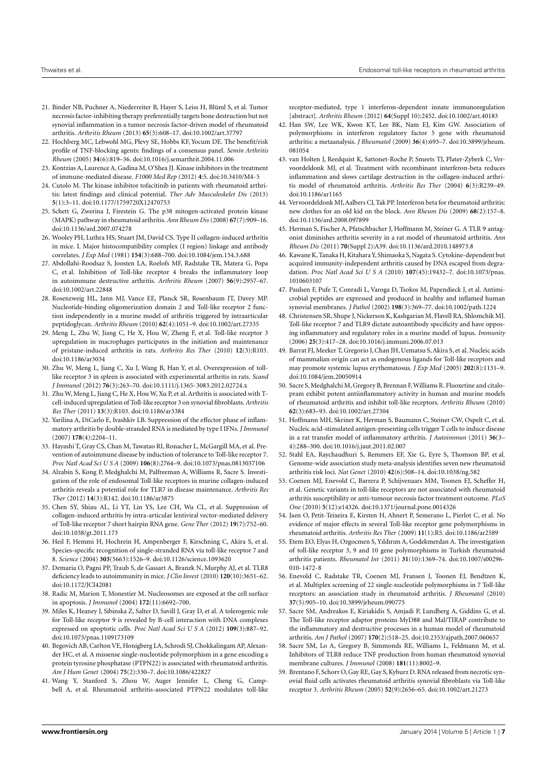- <span id="page-6-0"></span>21. Binder NB, Puchner A, Niederreiter B, Hayer S, Leiss H, Blüml S, et al. Tumor necrosis factor-inhibiting therapy preferentially targets bone destruction but not synovial inflammation in a tumor necrosis factor-driven model of rheumatoid arthritis. *Arthritis Rheum* (2013) **65**(3):608–17. doi[:10.1002/art.37797](http://dx.doi.org/10.1002/art.37797)
- <span id="page-6-1"></span>22. Hochberg MC, Lebwohl MG, Plevy SE, Hobbs KF, Yocum DE. The benefit/risk profile of TNF-blocking agents: findings of a consensus panel. *Semin Arthritis Rheum* (2005) **34**(6):819–36. doi[:10.1016/j.semarthrit.2004.11.006](http://dx.doi.org/10.1016/j.semarthrit.2004.11.006)
- <span id="page-6-2"></span>23. Kontzias A, Laurence A, Gadina M, O'Shea JJ. Kinase inhibitors in the treatment of immune-mediated disease. *F1000 Med Rep* (2012) **4**:5. doi[:10.3410/M4-5](http://dx.doi.org/10.3410/M4-5)
- <span id="page-6-3"></span>24. Cutolo M. The kinase inhibitor tofacitinib in patients with rheumatoid arthritis: latest findings and clinical potential. *Ther Adv Musculoskelet Dis* (2013) **5**(1):3–11. doi[:10.1177/1759720X12470753](http://dx.doi.org/10.1177/1759720X12470753)
- <span id="page-6-4"></span>25. Schett G, Zwerina J, Firestein G. The p38 mitogen-activated protein kinase (MAPK) pathway in rheumatoid arthritis. *Ann Rheum Dis* (2008) **67**(7):909–16. doi[:10.1136/ard.2007.074278](http://dx.doi.org/10.1136/ard.2007.074278)
- <span id="page-6-5"></span>26. Wooley PH, Luthra HS, Stuart JM, David CS. Type II collagen-induced arthritis in mice. I. Major histocompatibility complex (I region) linkage and antibody correlates. *J Exp Med* (1981) **154**(3):688–700. doi[:10.1084/jem.154.3.688](http://dx.doi.org/10.1084/jem.154.3.688)
- <span id="page-6-6"></span>27. Abdollahi-Roodsaz S, Joosten LA, Roelofs MF, Radstake TR, Matera G, Popa C, et al. Inhibition of Toll-like receptor 4 breaks the inflammatory loop in autoimmune destructive arthritis. *Arthritis Rheum* (2007) **56**(9):2957–67. doi[:10.1002/art.22848](http://dx.doi.org/10.1002/art.22848)
- <span id="page-6-7"></span>28. Rosenzweig HL, Jann MJ, Vance EE, Planck SR, Rosenbaum JT, Davey MP. Nucleotide-binding oligomerization domain 2 and Toll-like receptor 2 function independently in a murine model of arthritis triggered by intraarticular peptidoglycan. *Arthritis Rheum* (2010) **62**(4):1051–9. doi[:10.1002/art.27335](http://dx.doi.org/10.1002/art.27335)
- <span id="page-6-8"></span>29. Meng L, Zhu W, Jiang C, He X, Hou W, Zheng F, et al. Toll-like receptor 3 upregulation in macrophages participates in the initiation and maintenance of pristane-induced arthritis in rats. *Arthritis Res Ther* (2010) **12**(3):R103. doi[:10.1186/ar3034](http://dx.doi.org/10.1186/ar3034)
- <span id="page-6-9"></span>30. Zhu W, Meng L, Jiang C, Xu J, Wang B, Han Y, et al. Overexpression of tolllike receptor 3 in spleen is associated with experimental arthritis in rats. *Scand J Immunol* (2012) **76**(3):263–70. doi[:10.1111/j.1365-3083.2012.02724.x](http://dx.doi.org/10.1111/j.1365-3083.2012.02724.x)
- <span id="page-6-10"></span>31. Zhu W, Meng L, Jiang C, He X, Hou W, Xu P, et al. Arthritis is associated with Tcell-induced upregulation of Toll-like receptor 3 on synovial fibroblasts.*Arthritis Res Ther* (2011) **13**(3):R103. doi[:10.1186/ar3384](http://dx.doi.org/10.1186/ar3384)
- <span id="page-6-11"></span>32. Yarilina A, DiCarlo E, Ivashkiv LB. Suppression of the effector phase of inflammatory arthritis by double-stranded RNA is mediated by type I IFNs. *J Immunol* (2007) **178**(4):2204–11.
- <span id="page-6-12"></span>33. Hayashi T, Gray CS, Chan M, Tawatao RI, Ronacher L, McGargill MA, et al. Prevention of autoimmune disease by induction of tolerance to Toll-like receptor 7. *Proc Natl Acad Sci U S A* (2009) **106**(8):2764–9. doi[:10.1073/pnas.0813037106](http://dx.doi.org/10.1073/pnas.0813037106)
- <span id="page-6-13"></span>34. Alzabin S, Kong P, Medghalchi M, Palfreeman A, Williams R, Sacre S. Investigation of the role of endosomal Toll-like receptors in murine collagen-induced arthritis reveals a potential role for TLR7 in disease maintenance. *Arthritis Res Ther* (2012) **14**(3):R142. doi[:10.1186/ar3875](http://dx.doi.org/10.1186/ar3875)
- <span id="page-6-14"></span>35. Chen SY, Shiau AL, Li YT, Lin YS, Lee CH, Wu CL, et al. Suppression of collagen-induced arthritis by intra-articular lentiviral vector-mediated delivery of Toll-like receptor 7 short hairpin RNA gene. *Gene Ther* (2012) **19**(7):752–60. doi[:10.1038/gt.2011.173](http://dx.doi.org/10.1038/gt.2011.173)
- <span id="page-6-15"></span>36. Heil F, Hemmi H, Hochrein H, Ampenberger F, Kirschning C, Akira S, et al. Species-specific recognition of single-stranded RNA via toll-like receptor 7 and 8. *Science* (2004) **303**(5663):1526–9. doi[:10.1126/science.1093620](http://dx.doi.org/10.1126/science.1093620)
- <span id="page-6-16"></span>37. Demaria O, Pagni PP, Traub S, de Gassart A, Branzk N, Murphy AJ, et al. TLR8 deficiency leads to autoimmunity in mice. *J Clin Invest* (2010) **120**(10):3651–62. doi[:10.1172/JCI42081](http://dx.doi.org/10.1172/JCI42081)
- <span id="page-6-17"></span>38. Radic M, Marion T, Monestier M. Nucleosomes are exposed at the cell surface in apoptosis. *J Immunol* (2004) **172**(11):6692–700.
- <span id="page-6-18"></span>39. Miles K, Heaney J, Sibinska Z, Salter D, Savill J, Gray D, et al. A tolerogenic role for Toll-like receptor 9 is revealed by B-cell interaction with DNA complexes expressed on apoptotic cells. *Proc Natl Acad Sci U S A* (2012) **109**(3):887–92. doi[:10.1073/pnas.1109173109](http://dx.doi.org/10.1073/pnas.1109173109)
- <span id="page-6-19"></span>40. Begovich AB, Carlton VE, Honigberg LA, Schrodi SJ, Chokkalingam AP, Alexander HC, et al. A missense single-nucleotide polymorphism in a gene encoding a protein tyrosine phosphatase (PTPN22) is associated with rheumatoid arthritis. *Am J Hum Genet* (2004) **75**(2):330–7. doi[:10.1086/422827](http://dx.doi.org/10.1086/422827)
- <span id="page-6-20"></span>41. Wang Y, Stanford S, Zhou W, Auger Jennifer L, Cheng G, Campbell A, et al. Rheumatoid arthritis-associated PTPN22 modulates toll-like

receptor-mediated, type 1 interferon-dependent innate immunoregulation [abstract]. *Arthritis Rheum* (2012) **64**(Suppl 10):2452. doi[:10.1002/art.40183](http://dx.doi.org/10.1002/art.40183)

- <span id="page-6-21"></span>42. Han SW, Lee WK, Kwon KT, Lee BK, Nam EJ, Kim GW. Association of polymorphisms in interferon regulatory factor 5 gene with rheumatoid arthritis: a metaanalysis. *J Rheumatol* (2009) **36**(4):693–7. doi[:10.3899/jrheum.](http://dx.doi.org/10.3899/jrheum.081054) [081054](http://dx.doi.org/10.3899/jrheum.081054)
- <span id="page-6-22"></span>43. van Holten J, Reedquist K, Sattonet-Roche P, Smeets TJ, Plater-Zyberk C, Vervoordeldonk MJ, et al. Treatment with recombinant interferon-beta reduces inflammation and slows cartilage destruction in the collagen-induced arthritis model of rheumatoid arthritis. *Arthritis Res Ther* (2004) **6**(3):R239–49. doi[:10.1186/ar1165](http://dx.doi.org/10.1186/ar1165)
- <span id="page-6-23"></span>44. Vervoordeldonk MJ, Aalbers CJ, Tak PP. Interferon beta for rheumatoid arthritis: new clothes for an old kid on the block. *Ann Rheum Dis* (2009) **68**(2):157–8. doi[:10.1136/ard.2008.097899](http://dx.doi.org/10.1136/ard.2008.097899)
- <span id="page-6-24"></span>45. Herman S, Fischer A, Pfatschbacher J, Hoffmann M, Steiner G. A TLR 9 antagonist diminishes arthritis severity in a rat model of rheumatoid arthritis. *Ann Rheum Dis* (2011) **70**(Suppl 2):A39. doi[:10.1136/ard.2010.148973.8](http://dx.doi.org/10.1136/ard.2010.148973.8)
- <span id="page-6-25"></span>46. Kawane K, Tanaka H, Kitahara Y, Shimaoka S, Nagata S. Cytokine-dependent but acquired immunity-independent arthritis caused by DNA escaped from degradation. *Proc Natl Acad Sci U S A* (2010) **107**(45):19432–7. doi[:10.1073/pnas.](http://dx.doi.org/10.1073/pnas.1010603107) [1010603107](http://dx.doi.org/10.1073/pnas.1010603107)
- <span id="page-6-26"></span>47. Paulsen F, Pufe T, Conradi L, Varoga D, Tsokos M, Papendieck J, et al. Antimicrobial peptides are expressed and produced in healthy and inflamed human synovial membranes. *J Pathol* (2002) **198**(3):369–77. doi[:10.1002/path.1224](http://dx.doi.org/10.1002/path.1224)
- <span id="page-6-27"></span>48. Christensen SR, Shupe J, Nickerson K, Kashgarian M, Flavell RA, Shlomchik MJ. Toll-like receptor 7 and TLR9 dictate autoantibody specificity and have opposing inflammatory and regulatory roles in a murine model of lupus. *Immunity* (2006) **25**(3):417–28. doi[:10.1016/j.immuni.2006.07.013](http://dx.doi.org/10.1016/j.immuni.2006.07.013)
- <span id="page-6-28"></span>49. Barrat FJ, Meeker T, Gregorio J, Chan JH, Uematsu S, Akira S, et al. Nucleic acids of mammalian origin can act as endogenous ligands for Toll-like receptors and may promote systemic lupus erythematosus. *J Exp Med* (2005) **202**(8):1131–9. doi[:10.1084/jem.20050914](http://dx.doi.org/10.1084/jem.20050914)
- <span id="page-6-29"></span>50. Sacre S, Medghalchi M, Gregory B, Brennan F, Williams R. Fluoxetine and citalopram exhibit potent antiinflammatory activity in human and murine models of rheumatoid arthritis and inhibit toll-like receptors. *Arthritis Rheum* (2010) **62**(3):683–93. doi[:10.1002/art.27304](http://dx.doi.org/10.1002/art.27304)
- <span id="page-6-30"></span>51. Hoffmann MH, Skriner K, Herman S, Baumann C, Steiner CW, Ospelt C, et al. Nucleic acid-stimulated antigen-presenting cells trigger T cells to induce disease in a rat transfer model of inflammatory arthritis. *J Autoimmun* (2011) **36**(3– 4):288–300. doi[:10.1016/j.jaut.2011.02.007](http://dx.doi.org/10.1016/j.jaut.2011.02.007)
- <span id="page-6-31"></span>52. Stahl EA, Raychaudhuri S, Remmers EF, Xie G, Eyre S, Thomson BP, et al. Genome-wide association study meta-analysis identifies seven new rheumatoid arthritis risk loci. *Nat Genet* (2010) **42**(6):508–14. doi[:10.1038/ng.582](http://dx.doi.org/10.1038/ng.582)
- <span id="page-6-33"></span>53. Coenen MJ, Enevold C, Barrera P, Schijvenaars MM, Toonen EJ, Scheffer H, et al. Genetic variants in toll-like receptors are not associated with rheumatoid arthritis susceptibility or anti-tumour necrosis factor treatment outcome. *PLoS One* (2010) **5**(12):e14326. doi[:10.1371/journal.pone.0014326](http://dx.doi.org/10.1371/journal.pone.0014326)
- <span id="page-6-32"></span>54. Jaen O, Petit-Teixeira E, Kirsten H, Ahnert P, Semerano L, Pierlot C, et al. No evidence of major effects in several Toll-like receptor gene polymorphisms in rheumatoid arthritis. *Arthritis Res Ther* (2009) **11**(1):R5. doi[:10.1186/ar2589](http://dx.doi.org/10.1186/ar2589)
- <span id="page-6-34"></span>55. Etem EO, Elyas H, Ozgocmen S, Yıldırım A, Godekmerdan A. The investigation of toll-like receptor 3, 9 and 10 gene polymorphisms in Turkish rheumatoid arthritis patients. *Rheumatol Int* (2011) **31**(10):1369–74. doi[:10.1007/s00296-](http://dx.doi.org/10.1007/s00296-010-1472-8) [010-1472-8](http://dx.doi.org/10.1007/s00296-010-1472-8)
- <span id="page-6-35"></span>56. Enevold C, Radstake TR, Coenen MJ, Fransen J, Toonen EJ, Bendtzen K, et al. Multiplex screening of 22 single-nucleotide polymorphisms in 7 Toll-like receptors: an association study in rheumatoid arthritis. *J Rheumatol* (2010) **37**(5):905–10. doi[:10.3899/jrheum.090775](http://dx.doi.org/10.3899/jrheum.090775)
- <span id="page-6-36"></span>57. Sacre SM, Andreakos E, Kiriakidis S, Amjadi P, Lundberg A, Giddins G, et al. The Toll-like receptor adaptor proteins MyD88 and Mal/TIRAP contribute to the inflammatory and destructive processes in a human model of rheumatoid arthritis. *Am J Pathol* (2007) **170**(2):518–25. doi[:10.2353/ajpath.2007.060657](http://dx.doi.org/10.2353/ajpath.2007.060657)
- <span id="page-6-37"></span>58. Sacre SM, Lo A, Gregory B, Simmonds RE, Williams L, Feldmann M, et al. Inhibitors of TLR8 reduce TNF production from human rheumatoid synovial membrane cultures. *J Immunol* (2008) **181**(11):8002–9.
- <span id="page-6-38"></span>59. Brentano F, Schorr O, Gay RE, Gay S, Kyburz D. RNA released from necrotic synovial fluid cells activates rheumatoid arthritis synovial fibroblasts via Toll-like receptor 3. *Arthritis Rheum* (2005) **52**(9):2656–65. doi[:10.1002/art.21273](http://dx.doi.org/10.1002/art.21273)